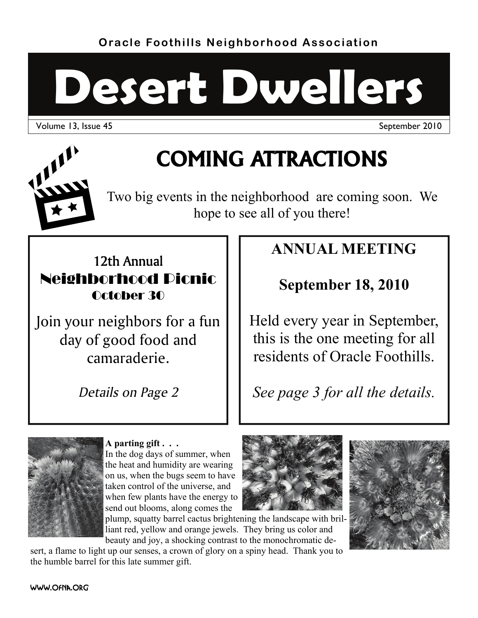**Oracle Foothills Neighborhood Association** 

# **Desert Dwellers**

Volume 13, Issue 45 September 2010



# **COMING ATTRACTIONS**

Two big events in the neighborhood are coming soon. We hope to see all of you there!

# 12th Annual Neighborhood Picnic October 30

Join your neighbors for a fun day of good food and camaraderie.

*Details on Page 2* 

# **ANNUAL MEETING**

# **September 18, 2010**

Held every year in September, this is the one meeting for all residents of Oracle Foothills.

*See page 3 for all the details.* 



### **A parting gift . . .**

In the dog days of summer, when the heat and humidity are wearing on us, when the bugs seem to have taken control of the universe, and when few plants have the energy to send out blooms, along comes the

plump, squatty barrel cactus brightening the landscape with brilliant red, yellow and orange jewels. They bring us color and beauty and joy, a shocking contrast to the monochromatic de-

sert, a flame to light up our senses, a crown of glory on a spiny head. Thank you to the humble barrel for this late summer gift.

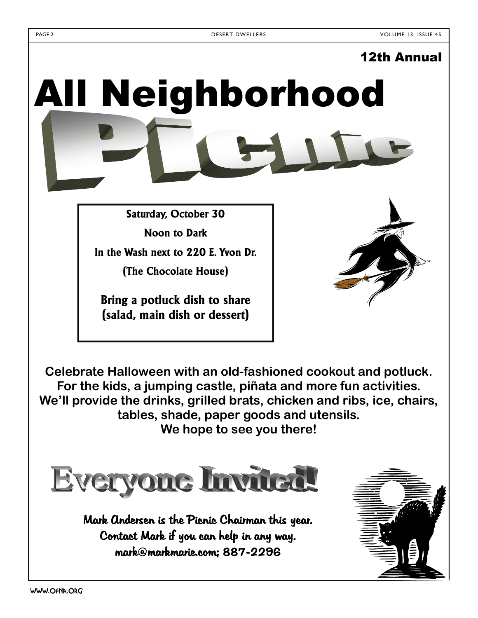# 12th Annual All Neighborhood

**Saturday, October 30** 

**Noon to Dark In the Wash next to 220 E. Yvon Dr.** 

**(The Chocolate House)** 

**Bring a potluck dish to share (salad, main dish or dessert)** 

**Celebrate Halloween with an old-fashioned cookout and potluck. For the kids, a jumping castle, piñata and more fun activities. We'll provide the drinks, grilled brats, chicken and ribs, ice, chairs, tables, shade, paper goods and utensils. We hope to see you there!** 



Mark Andersen is the Picnic Chairman this year. Contact Mark if you can help in any way. mark@markmarie.com; 887-2296

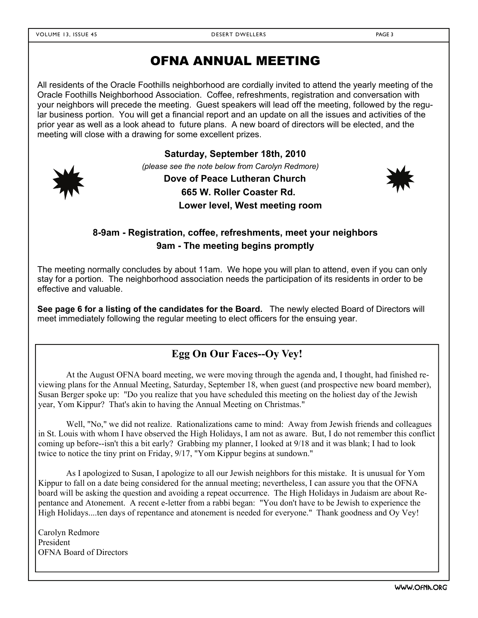# OFNA ANNUAL MEETING

All residents of the Oracle Foothills neighborhood are cordially invited to attend the yearly meeting of the Oracle Foothills Neighborhood Association. Coffee, refreshments, registration and conversation with your neighbors will precede the meeting. Guest speakers will lead off the meeting, followed by the regular business portion. You will get a financial report and an update on all the issues and activities of the prior year as well as a look ahead to future plans. A new board of directors will be elected, and the meeting will close with a drawing for some excellent prizes.



**Saturday, September 18th, 2010**  *(please see the note below from Carolyn Redmore)*

> **Dove of Peace Lutheran Church 665 W. Roller Coaster Rd.**

**Lower level, West meeting room** 

### **8-9am - Registration, coffee, refreshments, meet your neighbors 9am - The meeting begins promptly**

The meeting normally concludes by about 11am. We hope you will plan to attend, even if you can only stay for a portion. The neighborhood association needs the participation of its residents in order to be effective and valuable.

**See page 6 for a listing of the candidates for the Board.** The newly elected Board of Directors will meet immediately following the regular meeting to elect officers for the ensuing year.

## **Egg On Our Faces--Oy Vey!**

 At the August OFNA board meeting, we were moving through the agenda and, I thought, had finished reviewing plans for the Annual Meeting, Saturday, September 18, when guest (and prospective new board member), Susan Berger spoke up: "Do you realize that you have scheduled this meeting on the holiest day of the Jewish year, Yom Kippur? That's akin to having the Annual Meeting on Christmas."

 Well, "No," we did not realize. Rationalizations came to mind: Away from Jewish friends and colleagues in St. Louis with whom I have observed the High Holidays, I am not as aware. But, I do not remember this conflict coming up before--isn't this a bit early? Grabbing my planner, I looked at 9/18 and it was blank; I had to look twice to notice the tiny print on Friday, 9/17, "Yom Kippur begins at sundown."

 As I apologized to Susan, I apologize to all our Jewish neighbors for this mistake. It is unusual for Yom Kippur to fall on a date being considered for the annual meeting; nevertheless, I can assure you that the OFNA board will be asking the question and avoiding a repeat occurrence. The High Holidays in Judaism are about Repentance and Atonement. A recent e-letter from a rabbi began: "You don't have to be Jewish to experience the High Holidays....ten days of repentance and atonement is needed for everyone." Thank goodness and Oy Vey!

Carolyn Redmore President OFNA Board of Directors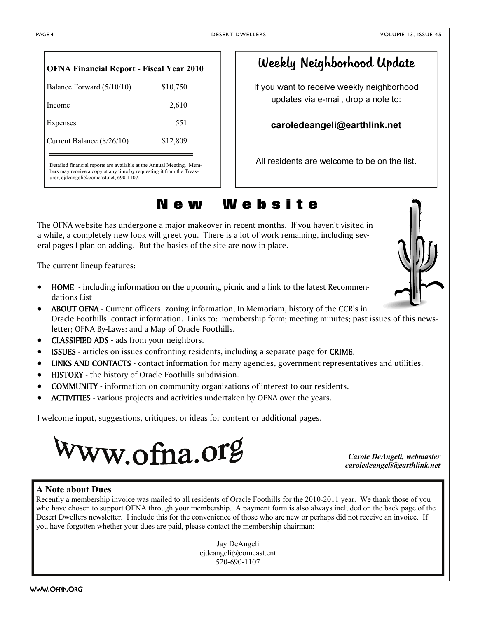| <b>OFNA Financial Report - Fiscal Year 2010</b> |          |  |  |
|-------------------------------------------------|----------|--|--|
| Balance Forward (5/10/10)                       | \$10,750 |  |  |
| Income                                          | 2,610    |  |  |
| Expenses                                        | 551      |  |  |
| Current Balance (8/26/10)                       | \$12,809 |  |  |
|                                                 |          |  |  |

Detailed financial reports are available at the Annual Meeting. Members may receive a copy at any time by requesting it from the Treasurer, ejdeangeli@comcast.net, 690-1107.

# Weekly Neighborhood Update

If you want to receive weekly neighborhood updates via e-mail, drop a note to:

**caroledeangeli@earthlink.net** 

All residents are welcome to be on the list.

# **N e w W e b s i t e**

The OFNA website has undergone a major makeover in recent months. If you haven't visited in a while, a completely new look will greet you. There is a lot of work remaining, including several pages I plan on adding. But the basics of the site are now in place.

The current lineup features:

- HOME including information on the upcoming picnic and a link to the latest Recommendations List
- ABOUT OFNA Current officers, zoning information, In Memoriam, history of the CCR's in Oracle Foothills, contact information. Links to: membership form; meeting minutes; past issues of this newsletter; OFNA By-Laws; and a Map of Oracle Foothills.
- CLASSIFIED ADS ads from your neighbors.
- ISSUES articles on issues confronting residents, including a separate page for CRIME.
- LINKS AND CONTACTS contact information for many agencies, government representatives and utilities.
- HISTORY the history of Oracle Foothills subdivision.
- COMMUNITY information on community organizations of interest to our residents.
- ACTIVITIES various projects and activities undertaken by OFNA over the years.

I welcome input, suggestions, critiques, or ideas for content or additional pages.



*Carole DeAngeli, webmaster caroledeangeli@earthlink.net* 

#### **A Note about Dues**

Recently a membership invoice was mailed to all residents of Oracle Foothills for the 2010-2011 year. We thank those of you who have chosen to support OFNA through your membership. A payment form is also always included on the back page of the Desert Dwellers newsletter. I include this for the convenience of those who are new or perhaps did not receive an invoice. If you have forgotten whether your dues are paid, please contact the membership chairman:

> Jay DeAngeli ejdeangeli@comcast.ent 520-690-1107

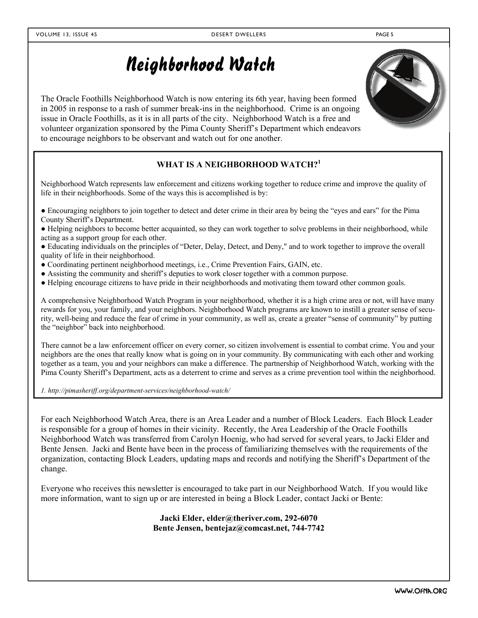# Neighborhood Watch

The Oracle Foothills Neighborhood Watch is now entering its 6th year, having been formed in 2005 in response to a rash of summer break-ins in the neighborhood. Crime is an ongoing issue in Oracle Foothills, as it is in all parts of the city. Neighborhood Watch is a free and volunteer organization sponsored by the Pima County Sheriff's Department which endeavors to encourage neighbors to be observant and watch out for one another.

#### **WHAT IS A NEIGHBORHOOD WATCH?<sup>1</sup>**

Neighborhood Watch represents law enforcement and citizens working together to reduce crime and improve the quality of life in their neighborhoods. Some of the ways this is accomplished is by:

● Encouraging neighbors to join together to detect and deter crime in their area by being the "eyes and ears" for the Pima County Sheriff's Department.

● Helping neighbors to become better acquainted, so they can work together to solve problems in their neighborhood, while acting as a support group for each other.

● Educating individuals on the principles of "Deter, Delay, Detect, and Deny," and to work together to improve the overall quality of life in their neighborhood.

- Coordinating pertinent neighborhood meetings, i.e., Crime Prevention Fairs, GAIN, etc.
- Assisting the community and sheriff's deputies to work closer together with a common purpose.
- Helping encourage citizens to have pride in their neighborhoods and motivating them toward other common goals.

A comprehensive Neighborhood Watch Program in your neighborhood, whether it is a high crime area or not, will have many rewards for you, your family, and your neighbors. Neighborhood Watch programs are known to instill a greater sense of security, well-being and reduce the fear of crime in your community, as well as, create a greater "sense of community" by putting the "neighbor" back into neighborhood.

There cannot be a law enforcement officer on every corner, so citizen involvement is essential to combat crime. You and your neighbors are the ones that really know what is going on in your community. By communicating with each other and working together as a team, you and your neighbors can make a difference. The partnership of Neighborhood Watch, working with the Pima County Sheriff's Department, acts as a deterrent to crime and serves as a crime prevention tool within the neighborhood.

*1. http://pimasheriff.org/department-services/neighborhood-watch/* 

For each Neighborhood Watch Area, there is an Area Leader and a number of Block Leaders. Each Block Leader is responsible for a group of homes in their vicinity. Recently, the Area Leadership of the Oracle Foothills Neighborhood Watch was transferred from Carolyn Hoenig, who had served for several years, to Jacki Elder and Bente Jensen. Jacki and Bente have been in the process of familiarizing themselves with the requirements of the organization, contacting Block Leaders, updating maps and records and notifying the Sheriff's Department of the change.

Everyone who receives this newsletter is encouraged to take part in our Neighborhood Watch. If you would like more information, want to sign up or are interested in being a Block Leader, contact Jacki or Bente:

#### **Jacki Elder, elder@theriver.com, 292-6070 Bente Jensen, bentejaz@comcast.net, 744-7742**

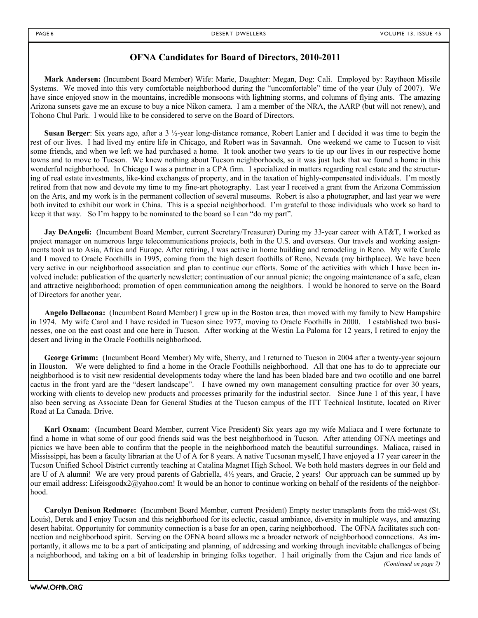#### **OFNA Candidates for Board of Directors, 2010-2011**

**Mark Andersen:** (Incumbent Board Member) Wife: Marie, Daughter: Megan, Dog: Cali. Employed by: Raytheon Missile Systems. We moved into this very comfortable neighborhood during the "uncomfortable" time of the year (July of 2007). We have since enjoyed snow in the mountains, incredible monsoons with lightning storms, and columns of flying ants. The amazing Arizona sunsets gave me an excuse to buy a nice Nikon camera. I am a member of the NRA, the AARP (but will not renew), and Tohono Chul Park. I would like to be considered to serve on the Board of Directors.

**Susan Berger**: Six years ago, after a 3 ½-year long-distance romance, Robert Lanier and I decided it was time to begin the rest of our lives. I had lived my entire life in Chicago, and Robert was in Savannah. One weekend we came to Tucson to visit some friends, and when we left we had purchased a home. It took another two years to tie up our lives in our respective home towns and to move to Tucson. We knew nothing about Tucson neighborhoods, so it was just luck that we found a home in this wonderful neighborhood. In Chicago I was a partner in a CPA firm. I specialized in matters regarding real estate and the structuring of real estate investments, like-kind exchanges of property, and in the taxation of highly-compensated individuals. I'm mostly retired from that now and devote my time to my fine-art photography. Last year I received a grant from the Arizona Commission on the Arts, and my work is in the permanent collection of several museums. Robert is also a photographer, and last year we were both invited to exhibit our work in China. This is a special neighborhood. I'm grateful to those individuals who work so hard to keep it that way. So I'm happy to be nominated to the board so I can "do my part".

**Jay DeAngeli:** (Incumbent Board Member, current Secretary/Treasurer) During my 33-year career with AT&T, I worked as project manager on numerous large telecommunications projects, both in the U.S. and overseas. Our travels and working assignments took us to Asia, Africa and Europe. After retiring, I was active in home building and remodeling in Reno. My wife Carole and I moved to Oracle Foothills in 1995, coming from the high desert foothills of Reno, Nevada (my birthplace). We have been very active in our neighborhood association and plan to continue our efforts. Some of the activities with which I have been involved include: publication of the quarterly newsletter; continuation of our annual picnic; the ongoing maintenance of a safe, clean and attractive neighborhood; promotion of open communication among the neighbors. I would be honored to serve on the Board of Directors for another year.

**Angelo Dellacona:** (Incumbent Board Member) I grew up in the Boston area, then moved with my family to New Hampshire in 1974. My wife Carol and I have resided in Tucson since 1977, moving to Oracle Foothills in 2000. I established two businesses, one on the east coast and one here in Tucson. After working at the Westin La Paloma for 12 years, I retired to enjoy the desert and living in the Oracle Foothills neighborhood.

**George Grimm:** (Incumbent Board Member) My wife, Sherry, and I returned to Tucson in 2004 after a twenty-year sojourn in Houston. We were delighted to find a home in the Oracle Foothills neighborhood. All that one has to do to appreciate our neighborhood is to visit new residential developments today where the land has been bladed bare and two ocotillo and one barrel cactus in the front yard are the "desert landscape". I have owned my own management consulting practice for over 30 years, working with clients to develop new products and processes primarily for the industrial sector. Since June 1 of this year, I have also been serving as Associate Dean for General Studies at the Tucson campus of the ITT Technical Institute, located on River Road at La Canada. Drive.

**Karl Oxnam**: (Incumbent Board Member, current Vice President) Six years ago my wife Maliaca and I were fortunate to find a home in what some of our good friends said was the best neighborhood in Tucson. After attending OFNA meetings and picnics we have been able to confirm that the people in the neighborhood match the beautiful surroundings. Maliaca, raised in Mississippi, has been a faculty librarian at the U of A for 8 years. A native Tucsonan myself, I have enjoyed a 17 year career in the Tucson Unified School District currently teaching at Catalina Magnet High School. We both hold masters degrees in our field and are U of A alumni! We are very proud parents of Gabriella, 4½ years, and Gracie, 2 years! Our approach can be summed up by our email address: Lifeisgoodx2@yahoo.com! It would be an honor to continue working on behalf of the residents of the neighborhood.

**Carolyn Denison Redmore:** (Incumbent Board Member, current President) Empty nester transplants from the mid-west (St. Louis), Derek and I enjoy Tucson and this neighborhood for its eclectic, casual ambiance, diversity in multiple ways, and amazing desert habitat. Opportunity for community connection is a base for an open, caring neighborhood. The OFNA facilitates such connection and neighborhood spirit. Serving on the OFNA board allows me a broader network of neighborhood connections. As importantly, it allows me to be a part of anticipating and planning, of addressing and working through inevitable challenges of being a neighborhood, and taking on a bit of leadership in bringing folks together. I hail originally from the Cajun and rice lands of *(Continued on page 7)*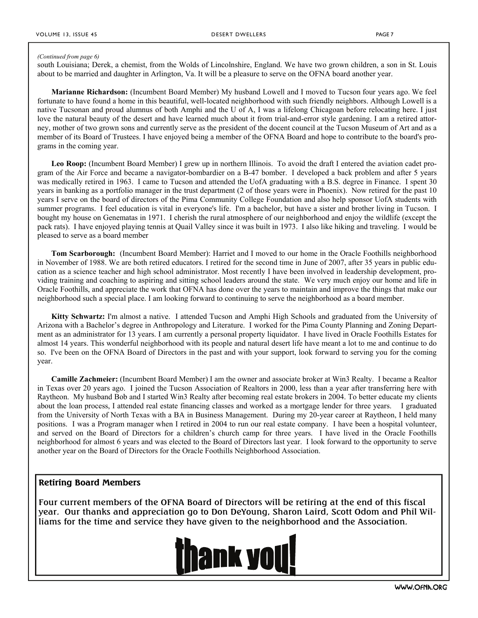#### *(Continued from page 6)*

south Louisiana; Derek, a chemist, from the Wolds of Lincolnshire, England. We have two grown children, a son in St. Louis about to be married and daughter in Arlington, Va. It will be a pleasure to serve on the OFNA board another year.

**Marianne Richardson:** (Incumbent Board Member) My husband Lowell and I moved to Tucson four years ago. We feel fortunate to have found a home in this beautiful, well-located neighborhood with such friendly neighbors. Although Lowell is a native Tucsonan and proud alumnus of both Amphi and the U of A, I was a lifelong Chicagoan before relocating here. I just love the natural beauty of the desert and have learned much about it from trial-and-error style gardening. I am a retired attorney, mother of two grown sons and currently serve as the president of the docent council at the Tucson Museum of Art and as a member of its Board of Trustees. I have enjoyed being a member of the OFNA Board and hope to contribute to the board's programs in the coming year.

Leo Roop: (Incumbent Board Member) I grew up in northern Illinois. To avoid the draft I entered the aviation cadet program of the Air Force and became a navigator-bombardier on a B-47 bomber. I developed a back problem and after 5 years was medically retired in 1963. I came to Tucson and attended the UofA graduating with a B.S. degree in Finance. I spent 30 years in banking as a portfolio manager in the trust department (2 of those years were in Phoenix). Now retired for the past 10 years I serve on the board of directors of the Pima Community College Foundation and also help sponsor UofA students with summer programs. I feel education is vital in everyone's life. I'm a bachelor, but have a sister and brother living in Tucson. I bought my house on Genematas in 1971. I cherish the rural atmosphere of our neighborhood and enjoy the wildlife (except the pack rats). I have enjoyed playing tennis at Quail Valley since it was built in 1973. I also like hiking and traveling. I would be pleased to serve as a board member

**Tom Scarborough:** (Incumbent Board Member): Harriet and I moved to our home in the Oracle Foothills neighborhood in November of 1988. We are both retired educators. I retired for the second time in June of 2007, after 35 years in public education as a science teacher and high school administrator. Most recently I have been involved in leadership development, providing training and coaching to aspiring and sitting school leaders around the state. We very much enjoy our home and life in Oracle Foothills, and appreciate the work that OFNA has done over the years to maintain and improve the things that make our neighborhood such a special place. I am looking forward to continuing to serve the neighborhood as a board member.

**Kitty Schwartz:** I'm almost a native. I attended Tucson and Amphi High Schools and graduated from the University of Arizona with a Bachelor's degree in Anthropology and Literature. I worked for the Pima County Planning and Zoning Department as an administrator for 13 years. I am currently a personal property liquidator. I have lived in Oracle Foothills Estates for almost 14 years. This wonderful neighborhood with its people and natural desert life have meant a lot to me and continue to do so. I've been on the OFNA Board of Directors in the past and with your support, look forward to serving you for the coming year.

**Camille Zachmeier:** (Incumbent Board Member) I am the owner and associate broker at Win3 Realty. I became a Realtor in Texas over 20 years ago. I joined the Tucson Association of Realtors in 2000, less than a year after transferring here with Raytheon. My husband Bob and I started Win3 Realty after becoming real estate brokers in 2004. To better educate my clients about the loan process, I attended real estate financing classes and worked as a mortgage lender for three years. I graduated from the University of North Texas with a BA in Business Management. During my 20-year career at Raytheon, I held many positions. I was a Program manager when I retired in 2004 to run our real estate company. I have been a hospital volunteer, and served on the Board of Directors for a children's church camp for three years. I have lived in the Oracle Foothills neighborhood for almost 6 years and was elected to the Board of Directors last year. I look forward to the opportunity to serve another year on the Board of Directors for the Oracle Foothills Neighborhood Association.

#### **Retiring Board Members**

Four current members of the OFNA Board of Directors will be retiring at the end of this fiscal year. Our thanks and appreciation go to Don DeYoung, Sharon Laird, Scott Odom and Phil Williams for the time and service they have given to the neighborhood and the Association.